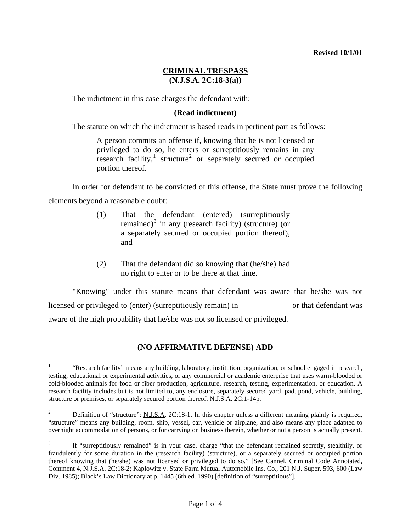## **CRIMINAL TRESPASS (N.J.S.A. 2C:18-3(a))**

The indictment in this case charges the defendant with:

## **(Read indictment)**

The statute on which the indictment is based reads in pertinent part as follows:

A person commits an offense if, knowing that he is not licensed or privileged to do so, he enters or surreptitiously remains in any research facility,<sup>[1](#page-1-0)</sup> structure<sup>[2](#page-0-0)</sup> or separately secured or occupied portion thereof.

In order for defendant to be convicted of this offense, the State must prove the following

elements beyond a reasonable doubt:

- (1) That the defendant (entered) (surreptitiously remained)<sup>[3](#page-0-1)</sup> in any (research facility) (structure) (or a separately secured or occupied portion thereof), and
- (2) That the defendant did so knowing that (he/she) had no right to enter or to be there at that time.

 "Knowing" under this statute means that defendant was aware that he/she was not licensed or privileged to (enter) (surreptitiously remain) in or that defendant was aware of the high probability that he/she was not so licensed or privileged.

## **(NO AFFIRMATIVE DEFENSE) ADD**

 $\overline{a}$ 1 "Research facility" means any building, laboratory, institution, organization, or school engaged in research, testing, educational or experimental activities, or any commercial or academic enterprise that uses warm-blooded or cold-blooded animals for food or fiber production, agriculture, research, testing, experimentation, or education. A research facility includes but is not limited to, any enclosure, separately secured yard, pad, pond, vehicle, building, structure or premises, or separately secured portion thereof. N.J.S.A. 2C:1-14p.

<span id="page-0-0"></span><sup>2</sup> Definition of "structure": N.J.S.A. 2C:18-1. In this chapter unless a different meaning plainly is required, "structure" means any building, room, ship, vessel, car, vehicle or airplane, and also means any place adapted to overnight accommodation of persons, or for carrying on business therein, whether or not a person is actually present.

<span id="page-0-2"></span><span id="page-0-1"></span><sup>3</sup> If "surreptitiously remained" is in your case, charge "that the defendant remained secretly, stealthily, or fraudulently for some duration in the (research facility) (structure), or a separately secured or occupied portion thereof knowing that (he/she) was not licensed or privileged to do so." [See Cannel, Criminal Code Annotated, Comment 4, N.J.S.A. 2C:18-2; Kaplowitz v. State Farm Mutual Automobile Ins. Co., 201 N.J. Super. 593, 600 (Law Div. 1985); Black's Law Dictionary at p. 1445 (6th ed. 1990) [definition of "surreptitious"].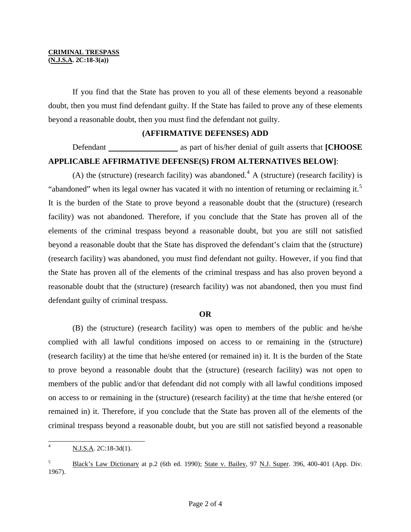#### **CRIMINAL TRESPASS (N.J.S.A. 2C:18-3(a))**

 If you find that the State has proven to you all of these elements beyond a reasonable doubt, then you must find defendant guilty. If the State has failed to prove any of these elements beyond a reasonable doubt, then you must find the defendant not guilty.

#### **(AFFIRMATIVE DEFENSES) ADD**

# Defendant **as part of his/her denial of guilt asserts that [CHOOSE APPLICABLE AFFIRMATIVE DEFENSE(S) FROM ALTERNATIVES BELOW]**:

(A) the (structure) (research facility) was abandoned.<sup>[4](#page-0-2)</sup> A (structure) (research facility) is "abandoned" when its legal owner has vacated it with no intention of returning or reclaiming it.<sup>[5](#page-1-1)</sup> It is the burden of the State to prove beyond a reasonable doubt that the (structure) (research facility) was not abandoned. Therefore, if you conclude that the State has proven all of the elements of the criminal trespass beyond a reasonable doubt, but you are still not satisfied beyond a reasonable doubt that the State has disproved the defendant's claim that the (structure) (research facility) was abandoned, you must find defendant not guilty. However, if you find that the State has proven all of the elements of the criminal trespass and has also proven beyond a reasonable doubt that the (structure) (research facility) was not abandoned, then you must find defendant guilty of criminal trespass.

#### **OR**

<span id="page-1-0"></span>(B) the (structure) (research facility) was open to members of the public and he/she complied with all lawful conditions imposed on access to or remaining in the (structure) (research facility) at the time that he/she entered (or remained in) it. It is the burden of the State to prove beyond a reasonable doubt that the (structure) (research facility) was not open to members of the public and/or that defendant did not comply with all lawful conditions imposed on access to or remaining in the (structure) (research facility) at the time that he/she entered (or remained in) it. Therefore, if you conclude that the State has proven all of the elements of the criminal trespass beyond a reasonable doubt, but you are still not satisfied beyond a reasonable

<span id="page-1-2"></span> $\overline{4}$ N.J.S.A. 2C:18-3d(1).

<span id="page-1-1"></span><sup>&</sup>lt;sup>5</sup> Black's Law Dictionary at p.2 (6th ed. 1990); <u>State v. Bailey, 97 N.J. Super</u>. 396, 400-401 (App. Div. 1967).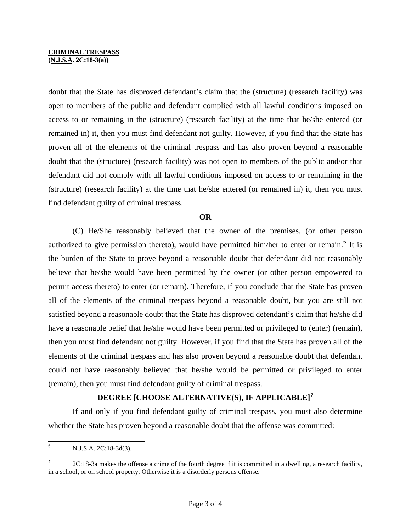#### **CRIMINAL TRESPASS**

**(N.J.S.A. 2C:18-3(a))** 

doubt that the State has disproved defendant's claim that the (structure) (research facility) was open to members of the public and defendant complied with all lawful conditions imposed on access to or remaining in the (structure) (research facility) at the time that he/she entered (or remained in) it, then you must find defendant not guilty. However, if you find that the State has proven all of the elements of the criminal trespass and has also proven beyond a reasonable doubt that the (structure) (research facility) was not open to members of the public and/or that defendant did not comply with all lawful conditions imposed on access to or remaining in the (structure) (research facility) at the time that he/she entered (or remained in) it, then you must find defendant guilty of criminal trespass.

#### **OR**

(C) He/She reasonably believed that the owner of the premises, (or other person authorized to give permission thereto), would have permitted him/her to enter or remain.<sup>[6](#page-1-2)</sup> It is the burden of the State to prove beyond a reasonable doubt that defendant did not reasonably believe that he/she would have been permitted by the owner (or other person empowered to permit access thereto) to enter (or remain). Therefore, if you conclude that the State has proven all of the elements of the criminal trespass beyond a reasonable doubt, but you are still not satisfied beyond a reasonable doubt that the State has disproved defendant's claim that he/she did have a reasonable belief that he/she would have been permitted or privileged to (enter) (remain), then you must find defendant not guilty. However, if you find that the State has proven all of the elements of the criminal trespass and has also proven beyond a reasonable doubt that defendant could not have reasonably believed that he/she would be permitted or privileged to enter (remain), then you must find defendant guilty of criminal trespass.

## **DEGREE [CHOOSE ALTERNATIVE(S), IF APPLICABLE][7](#page-2-0)**

<span id="page-2-1"></span> If and only if you find defendant guilty of criminal trespass, you must also determine whether the State has proven beyond a reasonable doubt that the offense was committed:

 $\overline{6}$ <sup>6</sup> N.J.S.A. 2C:18-3d(3).

<span id="page-2-0"></span><sup>7</sup> 2C:18-3a makes the offense a crime of the fourth degree if it is committed in a dwelling, a research facility, in a school, or on school property. Otherwise it is a disorderly persons offense.